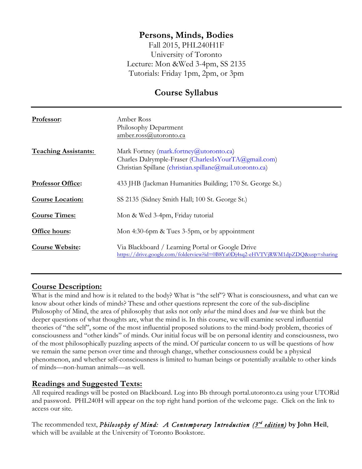# **Persons, Minds, Bodies**

Fall 2015, PHL240H1F University of Toronto Lecture: Mon &Wed 3-4pm, SS 2135 Tutorials: Friday 1pm, 2pm, or 3pm

# **Course Syllabus**

| Professor:                  | Amber Ross<br>Philosophy Department<br>amber.ross@utoronto.ca                                                                                               |  |  |
|-----------------------------|-------------------------------------------------------------------------------------------------------------------------------------------------------------|--|--|
| <b>Teaching Assistants:</b> | Mark Fortney (mark.fortney@utoronto.ca)<br>Charles Dalrymple-Fraser (CharlesIsYourTA@gmail.com)<br>Christian Spillane (christian.spillane@mail.utoronto.ca) |  |  |
| <b>Professor Office:</b>    | 433 JHB (Jackman Humanities Building; 170 St. George St.)                                                                                                   |  |  |
| <b>Course Location:</b>     | SS 2135 (Sidney Smith Hall; 100 St. George St.)                                                                                                             |  |  |
| <b>Course Times:</b>        | Mon & Wed 3-4pm, Friday tutorial                                                                                                                            |  |  |
| Office hours:               | Mon 4:30-6pm & Tues 3-5pm, or by appointment                                                                                                                |  |  |
| <b>Course Website:</b>      | Via Blackboard / Learning Portal or Google Drive<br>https://drive.google.com/folderview?id=0B8Ya0Dj4sq2-eHVTVjRWM1dpZDQ&usp=sharing                         |  |  |

# **Course Description:**

What is the mind and how is it related to the body? What is "the self"? What is consciousness, and what can we know about other kinds of minds? These and other questions represent the core of the sub-discipline Philosophy of Mind, the area of philosophy that asks not only *what* the mind does and *how* we think but the deeper questions of what thoughts are, what the mind is. In this course, we will examine several influential theories of "the self", some of the most influential proposed solutions to the mind-body problem, theories of consciousness and "other kinds" of minds. Our initial focus will be on personal identity and consciousness, two of the most philosophically puzzling aspects of the mind. Of particular concern to us will be questions of how we remain the same person over time and through change, whether consciousness could be a physical phenomenon, and whether self-consciousness is limited to human beings or potentially available to other kinds of minds—non-human animals—as well.

## **Readings and Suggested Texts:**

All required readings will be posted on Blackboard. Log into Bb through portal.utoronto.ca using your UTORid and password. PHL240H will appear on the top right hand portion of the welcome page. Click on the link to access our site.

The recommended text, *Philosophy of Mind: A Contemporary Introduction (3rd edition)* **by John Heil**, which will be available at the University of Toronto Bookstore.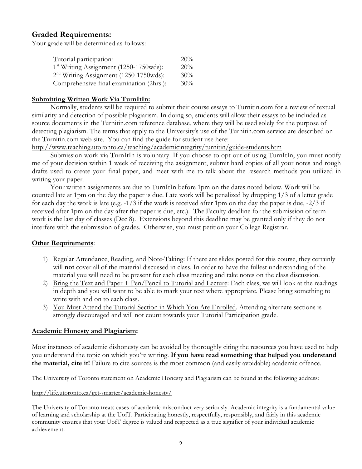## **Graded Requirements:**

Your grade will be determined as follows:

| Tutorial participation:                   | 20% |
|-------------------------------------------|-----|
| $1st$ Writing Assignment (1250-1750 wds): | 20% |
| $2nd$ Writing Assignment (1250-1750wds):  | 30% |
| Comprehensive final examination (2hrs.):  | 30% |

#### **Submitting Written Work Via TurnItIn:**

Normally, students will be required to submit their course essays to Turnitin.com for a review of textual similarity and detection of possible plagiarism. In doing so, students will allow their essays to be included as source documents in the Turnitin.com reference database, where they will be used solely for the purpose of detecting plagiarism. The terms that apply to the University's use of the Turnitin.com service are described on the Turnitin.com web site. You can find the guide for student use here:

http://www.teaching.utoronto.ca/teaching/academicintegrity/turnitin/guide-students.htm

Submission work via TurnItIn is voluntary. If you choose to opt-out of using TurnItIn, you must notify me of your decision within 1 week of receiving the assignment, submit hard copies of all your notes and rough drafts used to create your final paper, and meet with me to talk about the research methods you utilized in writing your paper.

Your written assignments are due to TurnItIn before 1pm on the dates noted below. Work will be counted late at 1pm on the day the paper is due. Late work will be penalized by dropping 1/3 of a letter grade for each day the work is late (e.g. -1/3 if the work is received after 1pm on the day the paper is due, -2/3 if received after 1pm on the day after the paper is due, etc.). The Faculty deadline for the submission of term work is the last day of classes (Dec 8). Extensions beyond this deadline may be granted only if they do not interfere with the submission of grades. Otherwise, you must petition your College Registrar.

#### **Other Requirements**:

- 1) Regular Attendance, Reading, and Note-Taking: If there are slides posted for this course, they certainly will **not** cover all of the material discussed in class. In order to have the fullest understanding of the material you will need to be present for each class meeting and take notes on the class discussion.
- 2) Bring the Text and Paper + Pen/Pencil to Tutorial and Lecture: Each class, we will look at the readings in depth and you will want to be able to mark your text where appropriate. Please bring something to write with and on to each class.
- 3) You Must Attend the Tutorial Section in Which You Are Enrolled. Attending alternate sections is strongly discouraged and will not count towards your Tutorial Participation grade.

#### **Academic Honesty and Plagiarism:**

Most instances of academic dishonesty can be avoided by thoroughly citing the resources you have used to help you understand the topic on which you're writing. **If you have read something that helped you understand the material, cite it!** Failure to cite sources is the most common (and easily avoidable) academic offence.

The University of Toronto statement on Academic Honesty and Plagiarism can be found at the following address:

#### http://life.utoronto.ca/get-smarter/academic-honesty/

The University of Toronto treats cases of academic misconduct very seriously. Academic integrity is a fundamental value of learning and scholarship at the UofT. Participating honestly, respectfully, responsibly, and fairly in this academic community ensures that your UofT degree is valued and respected as a true signifier of your individual academic achievement.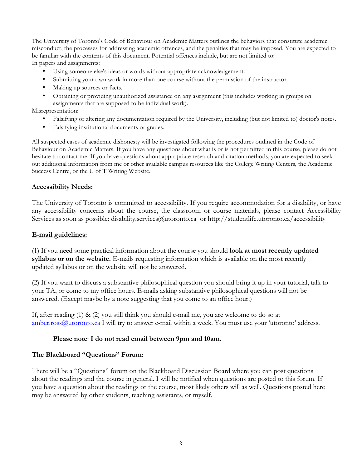The University of Toronto's Code of Behaviour on Academic Matters outlines the behaviors that constitute academic misconduct, the processes for addressing academic offences, and the penalties that may be imposed. You are expected to be familiar with the contents of this document. Potential offences include, but are not limited to: In papers and assignments:

- Using someone else's ideas or words without appropriate acknowledgement.
- Submitting your own work in more than one course without the permission of the instructor.
- Making up sources or facts.
- Obtaining or providing unauthorized assistance on any assignment (this includes working in groups on assignments that are supposed to be individual work).

Misrepresentation:

- Falsifying or altering any documentation required by the University, including (but not limited to) doctor's notes.
- Falsifying institutional documents or grades.

All suspected cases of academic dishonesty will be investigated following the procedures outlined in the Code of Behaviour on Academic Matters. If you have any questions about what is or is not permitted in this course, please do not hesitate to contact me. If you have questions about appropriate research and citation methods, you are expected to seek out additional information from me or other available campus resources like the College Writing Centers, the Academic Success Centre, or the U of T Writing Website.

#### **Accessibility Needs:**

The University of Toronto is committed to accessibility. If you require accommodation for a disability, or have any accessibility concerns about the course, the classroom or course materials, please contact Accessibility Services as soon as possible: disability.services@utoronto.ca or http://studentlife.utoronto.ca/accessibility

#### **E-mail guidelines:**

(1) If you need some practical information about the course you should **look at most recently updated syllabus or on the website.** E-mails requesting information which is available on the most recently updated syllabus or on the website will not be answered.

(2) If you want to discuss a substantive philosophical question you should bring it up in your tutorial, talk to your TA, or come to my office hours. E-mails asking substantive philosophical questions will not be answered. (Except maybe by a note suggesting that you come to an office hour.)

If, after reading  $(1) \& (2)$  you still think you should e-mail me, you are welcome to do so at amber.ross@utoronto.ca I will try to answer e-mail within a week. You must use your 'utoronto' address.

#### **Please note**: **I do not read email between 9pm and 10am.**

#### **The Blackboard "Questions" Forum**:

There will be a "Questions" forum on the Blackboard Discussion Board where you can post questions about the readings and the course in general. I will be notified when questions are posted to this forum. If you have a question about the readings or the course, most likely others will as well. Questions posted here may be answered by other students, teaching assistants, or myself.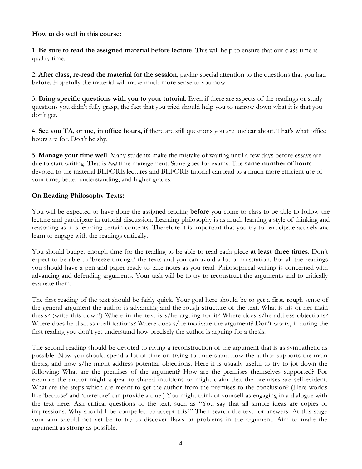#### **How to do well in this course:**

1. **Be sure to read the assigned material before lecture**. This will help to ensure that our class time is quality time.

2. **After class, re-read the material for the session**, paying special attention to the questions that you had before. Hopefully the material will make much more sense to you now.

3. **Bring specific questions with you to your tutorial**. Even if there are aspects of the readings or study questions you didn't fully grasp, the fact that you tried should help you to narrow down what it is that you don't get.

4. **See you TA, or me, in office hours,** if there are still questions you are unclear about. That's what office hours are for. Don't be shy.

5. **Manage your time well**. Many students make the mistake of waiting until a few days before essays are due to start writing. That is *bad* time management. Same goes for exams. The **same number of hours**  devoted to the material BEFORE lectures and BEFORE tutorial can lead to a much more efficient use of your time, better understanding, and higher grades.

#### **On Reading Philosophy Texts:**

You will be expected to have done the assigned reading **before** you come to class to be able to follow the lecture and participate in tutorial discussion. Learning philosophy is as much learning a style of thinking and reasoning as it is learning certain contents. Therefore it is important that you try to participate actively and learn to engage with the readings critically.

You should budget enough time for the reading to be able to read each piece **at least three times**. Don't expect to be able to 'breeze through' the texts and you can avoid a lot of frustration. For all the readings you should have a pen and paper ready to take notes as you read. Philosophical writing is concerned with advancing and defending arguments. Your task will be to try to reconstruct the arguments and to critically evaluate them.

The first reading of the text should be fairly quick. Your goal here should be to get a first, rough sense of the general argument the author is advancing and the rough structure of the text. What is his or her main thesis? (write this down!) Where in the text is s/he arguing for it? Where does s/he address objections? Where does he discuss qualifications? Where does s/he motivate the argument? Don't worry, if during the first reading you don't yet understand how precisely the author is arguing for a thesis.

The second reading should be devoted to giving a reconstruction of the argument that is as sympathetic as possible. Now you should spend a lot of time on trying to understand how the author supports the main thesis, and how s/he might address potential objections. Here it is usually useful to try to jot down the following: What are the premises of the argument? How are the premises themselves supported? For example the author might appeal to shared intuitions or might claim that the premises are self-evident. What are the steps which are meant to get the author from the premises to the conclusion? (Here worlds like 'because' and 'therefore' can provide a clue.) You might think of yourself as engaging in a dialogue with the text here. Ask critical questions of the text, such as "You say that all simple ideas are copies of impressions. Why should I be compelled to accept this?" Then search the text for answers. At this stage your aim should not yet be to try to discover flaws or problems in the argument. Aim to make the argument as strong as possible.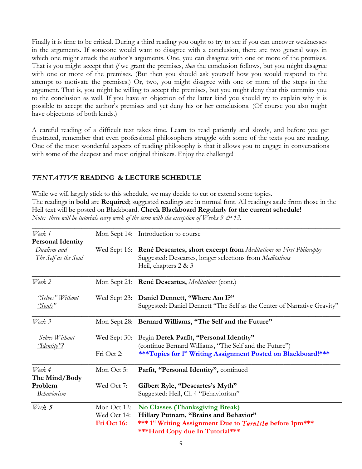Finally it is time to be critical. During a third reading you ought to try to see if you can uncover weaknesses in the arguments. If someone would want to disagree with a conclusion, there are two general ways in which one might attack the author's arguments. One, you can disagree with one or more of the premises. That is you might accept that *if* we grant the premises, *then* the conclusion follows, but you might disagree with one or more of the premises. (But then you should ask yourself how you would respond to the attempt to motivate the premises.) Or, two, you might disagree with one or more of the steps in the argument. That is, you might be willing to accept the premises, but you might deny that this commits you to the conclusion as well. If you have an objection of the latter kind you should try to explain why it is possible to accept the author's premises and yet deny his or her conclusions. (Of course you also might have objections of both kinds.)

A careful reading of a difficult text takes time. Learn to read patiently and slowly, and before you get frustrated, remember that even professional philosophers struggle with some of the texts you are reading. One of the most wonderful aspects of reading philosophy is that it allows you to engage in conversations with some of the deepest and most original thinkers. Enjoy the challenge!

### *TENTATIVE* **READING & LECTURE SCHEDULE**

While we will largely stick to this schedule, we may decide to cut or extend some topics. The readings in **bold** are **Required**; suggested readings are in normal font. All readings aside from those in the Heil text will be posted on Blackboard. **Check Blackboard Regularly for the current schedule!** *Note: there will be tutorials every week of the term with the exception of Weeks 9 & 13.*

| Week 1                   |              | Mon Sept 14: Introduction to course                                                                            |
|--------------------------|--------------|----------------------------------------------------------------------------------------------------------------|
| <b>Personal Identity</b> |              |                                                                                                                |
| Dualism and              | Wed Sept 16: | <b>René Descartes, short excerpt from</b> Meditations on First Philosophy                                      |
| The Self as the Soul     |              | Suggested: Descartes, longer selections from Meditations<br>Heil, chapters $2 \& 3$                            |
| Week 2                   |              | Mon Sept 21: René Descartes, Meditations (cont.)                                                               |
| "Selves" Without         | Wed Sept 23: | Daniel Dennett, "Where Am I?"                                                                                  |
| "Souls"                  |              | Suggested: Daniel Dennett "The Self as the Center of Narrative Gravity"                                        |
| Week 3                   |              | Mon Sept 28: Bernard Williams, "The Self and the Future"                                                       |
| Selves Without           | Wed Sept 30: | Begin Derek Parfit, "Personal Identity"                                                                        |
| "Identity"?              |              | (continue Bernard Williams, "The Self and the Future")                                                         |
|                          | Fri Oct 2:   | ***Topics for 1 <sup>st</sup> Writing Assignment Posted on Blackboard!***                                      |
| Week 4                   | Mon Oct 5:   | Parfit, "Personal Identity", continued                                                                         |
| The Mind/Body            |              |                                                                                                                |
| Problem                  | Wed Oct 7:   | Gilbert Ryle, "Descartes's Myth"                                                                               |
| <b>Behaviorism</b>       |              | Suggested: Heil, Ch 4 "Behaviorism"                                                                            |
| Week <sub>5</sub>        | Mon Oct 12:  | <b>No Classes (Thanksgiving Break)</b>                                                                         |
|                          | Wed Oct 14:  | Hillary Putnam, "Brains and Behavior"                                                                          |
|                          | Fri Oct 16:  | *** 1 <sup>st</sup> Writing Assignment Due to TurnItIn before 1pm***<br><b>***Hard Copy due In Tutorial***</b> |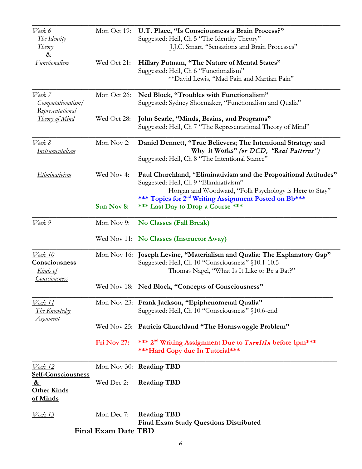|                                                 | <b>Final Exam Date TBD</b> |                                                                                                                                                                               |  |  |  |
|-------------------------------------------------|----------------------------|-------------------------------------------------------------------------------------------------------------------------------------------------------------------------------|--|--|--|
| <u>Week 13</u>                                  | Mon Dec 7:                 | <b>Reading TBD</b><br><b>Final Exam Study Questions Distributed</b>                                                                                                           |  |  |  |
| <b>Other Kinds</b><br>of Minds                  |                            |                                                                                                                                                                               |  |  |  |
| <b>Self-Consciousness</b><br>&                  | Wed Dec 2:                 | <b>Reading TBD</b>                                                                                                                                                            |  |  |  |
| Week 12                                         |                            | ***Hard Copy due In Tutorial***<br>Mon Nov 30: Reading TBD                                                                                                                    |  |  |  |
|                                                 | Fri Nov 27:                | *** 2 <sup>nd</sup> Writing Assignment Due to TurnItIn before 1pm***                                                                                                          |  |  |  |
| Argument                                        |                            | Wed Nov 25: Patricia Churchland "The Hornswoggle Problem"                                                                                                                     |  |  |  |
| Week 11<br><u>The Knowledge</u>                 |                            | Mon Nov 23: Frank Jackson, "Epiphenomenal Qualia"<br>Suggested: Heil, Ch 10 "Consciousness" §10.6-end                                                                         |  |  |  |
| Consciousness                                   |                            | Wed Nov 18: Ned Block, "Concepts of Consciousness"                                                                                                                            |  |  |  |
| Week 10<br>Consciousness<br><u>Kinds of</u>     |                            | Mon Nov 16: Joseph Levine, "Materialism and Qualia: The Explanatory Gap"<br>Suggested: Heil, Ch 10 "Consciousness" §10.1-10.5<br>Thomas Nagel, "What Is It Like to Be a Bat?" |  |  |  |
|                                                 |                            | Wed Nov 11: No Classes (Instructor Away)                                                                                                                                      |  |  |  |
| Week 9                                          | Mon Nov 9:                 | <b>No Classes (Fall Break)</b>                                                                                                                                                |  |  |  |
|                                                 | Sun Nov 8:                 | Horgan and Woodward, "Folk Psychology is Here to Stay"<br>*** Topics for 2 <sup>nd</sup> Writing Assignment Posted on Bb***<br>*** Last Day to Drop a Course ***              |  |  |  |
| Eliminativism                                   | Wed Nov 4:                 | Paul Churchland, "Eliminativism and the Propositional Attitudes"<br>Suggested: Heil, Ch 9 "Eliminativism"                                                                     |  |  |  |
| Week 8<br>Instrumentalism                       | Mon Nov 2:                 | Daniel Dennett, "True Believers; The Intentional Strategy and<br>Why it Works" (or DCD, "Real Patterns")<br>Suggested: Heil, Ch 8 "The Intentional Stance"                    |  |  |  |
| <b>Theory of Mind</b>                           | Wed Oct 28:                | John Searle, "Minds, Brains, and Programs"<br>Suggested: Heil, Ch 7 "The Representational Theory of Mind"                                                                     |  |  |  |
| Week 7<br>Computationalism/<br>Representational | Mon Oct 26:                | Ned Block, "Troubles with Functionalism"<br>Suggested: Sydney Shoemaker, "Functionalism and Qualia"                                                                           |  |  |  |
| Functionalism                                   | Wed Oct 21:                | Hillary Putnam, "The Nature of Mental States"<br>Suggested: Heil, Ch 6 "Functionalism"<br>** David Lewis, "Mad Pain and Martian Pain"                                         |  |  |  |
| The Identity<br><i>Theory</i><br>$\&$           | Mon Oct 19:                | U.T. Place, "Is Consciousness a Brain Process?"<br>Suggested: Heil, Ch 5 "The Identity Theory"<br>J.J.C. Smart, "Sensations and Brain Processes"                              |  |  |  |
| Week 6                                          |                            |                                                                                                                                                                               |  |  |  |